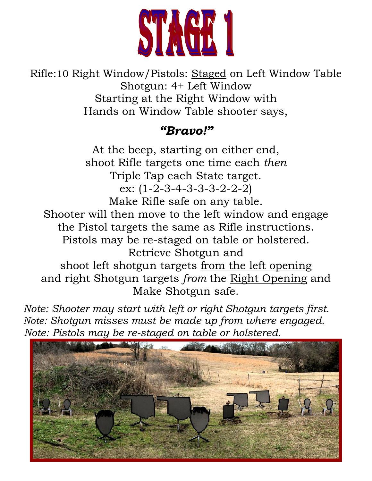

Rifle:10 Right Window/Pistols: Staged on Left Window Table Shotgun: 4+ Left Window Starting at the Right Window with Hands on Window Table shooter says,

#### *"Bravo!"*

At the beep, starting on either end, shoot Rifle targets one time each *then* Triple Tap each State target. ex: (1-2-3-4-3-3-3-2-2-2) Make Rifle safe on any table. Shooter will then move to the left window and engage the Pistol targets the same as Rifle instructions. Pistols may be re-staged on table or holstered. Retrieve Shotgun and shoot left shotgun targets from the left opening and right Shotgun targets *from* the Right Opening and Make Shotgun safe.

 *Note: Shooter may start with left or right Shotgun targets first. Note: Shotgun misses must be made up from where engaged. Note: Pistols may be re-staged on table or holstered.*

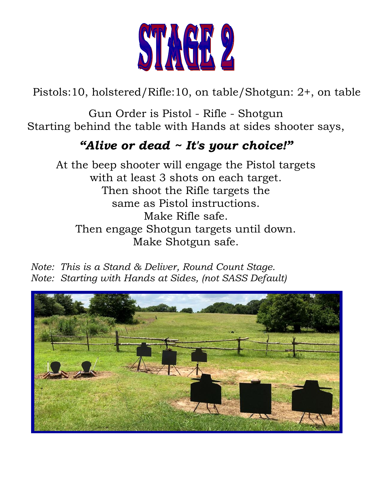

Pistols:10, holstered/Rifle:10, on table/Shotgun: 2+, on table

Gun Order is Pistol - Rifle - Shotgun Starting behind the table with Hands at sides shooter says,

#### *"Alive or dead ~ It's your choice!"*

At the beep shooter will engage the Pistol targets with at least 3 shots on each target. Then shoot the Rifle targets the same as Pistol instructions. Make Rifle safe. Then engage Shotgun targets until down. Make Shotgun safe.

*Note: This is a Stand & Deliver, Round Count Stage. Note: Starting with Hands at Sides, (not SASS Default)*

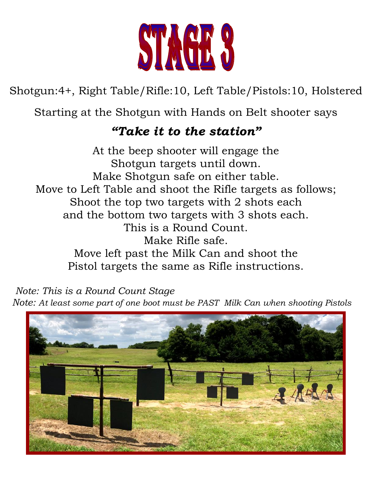

Shotgun:4+, Right Table/Rifle:10, Left Table/Pistols:10, Holstered

Starting at the Shotgun with Hands on Belt shooter says

### *"Take it to the station"*

At the beep shooter will engage the Shotgun targets until down. Make Shotgun safe on either table. Move to Left Table and shoot the Rifle targets as follows; Shoot the top two targets with 2 shots each and the bottom two targets with 3 shots each. This is a Round Count. Make Rifle safe. Move left past the Milk Can and shoot the Pistol targets the same as Rifle instructions.

 *Note: This is a Round Count Stage* 

*Note: At least some part of one boot must be PAST Milk Can when shooting Pistols*

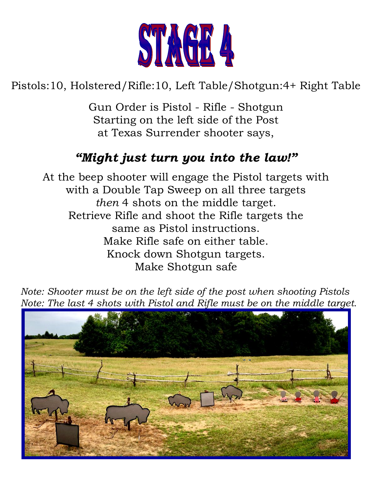

## Pistols:10, Holstered/Rifle:10, Left Table/Shotgun:4+ Right Table

Gun Order is Pistol - Rifle - Shotgun Starting on the left side of the Post at Texas Surrender shooter says,

## *"Might just turn you into the law!"*

At the beep shooter will engage the Pistol targets with with a Double Tap Sweep on all three targets *then* 4 shots on the middle target. Retrieve Rifle and shoot the Rifle targets the same as Pistol instructions. Make Rifle safe on either table. Knock down Shotgun targets. Make Shotgun safe

 *Note: Shooter must be on the left side of the post when shooting Pistols Note: The last 4 shots with Pistol and Rifle must be on the middle target.*

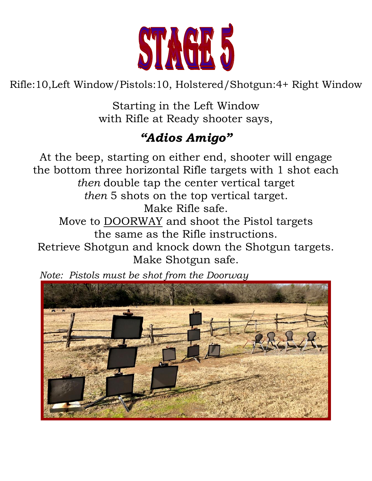

Rifle:10,Left Window/Pistols:10, Holstered/Shotgun:4+ Right Window

Starting in the Left Window with Rifle at Ready shooter says,

# *"Adios Amigo"*

At the beep, starting on either end, shooter will engage the bottom three horizontal Rifle targets with 1 shot each *then* double tap the center vertical target *then* 5 shots on the top vertical target. Make Rifle safe. Move to DOORWAY and shoot the Pistol targets the same as the Rifle instructions. Retrieve Shotgun and knock down the Shotgun targets. Make Shotgun safe.



 *Note: Pistols must be shot from the Doorway*